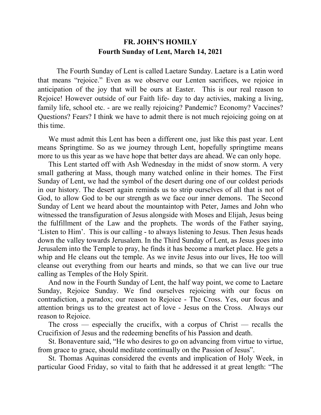## **FR. JOHN'S HOMILY Fourth Sunday of Lent, March 14, 2021**

 The Fourth Sunday of Lent is called Laetare Sunday. Laetare is a Latin word that means "rejoice." Even as we observe our Lenten sacrifices, we rejoice in anticipation of the joy that will be ours at Easter. This is our real reason to Rejoice! However outside of our Faith life- day to day activies, making a living, family life, school etc. - are we really rejoicing? Pandemic? Economy? Vaccines? Questions? Fears? I think we have to admit there is not much rejoicing going on at this time.

 We must admit this Lent has been a different one, just like this past year. Lent means Springtime. So as we journey through Lent, hopefully springtime means more to us this year as we have hope that better days are ahead. We can only hope.

 This Lent started off with Ash Wednesday in the midst of snow storm. A very small gathering at Mass, though many watched online in their homes. The First Sunday of Lent, we had the symbol of the desert during one of our coldest periods in our history. The desert again reminds us to strip ourselves of all that is not of God, to allow God to be our strength as we face our inner demons. The Second Sunday of Lent we heard about the mountaintop with Peter, James and John who witnessed the transfiguration of Jesus alongside with Moses and Elijah, Jesus being the fulfillment of the Law and the prophets. The words of the Father saying, 'Listen to Him'. This is our calling - to always listening to Jesus. Then Jesus heads down the valley towards Jerusalem. In the Third Sunday of Lent, as Jesus goes into Jerusalem into the Temple to pray, he finds it has become a market place. He gets a whip and He cleans out the temple. As we invite Jesus into our lives, He too will cleanse out everything from our hearts and minds, so that we can live our true calling as Temples of the Holy Spirit.

 And now in the Fourth Sunday of Lent, the half way point, we come to Laetare Sunday, Rejoice Sunday. We find ourselves rejoicing with our focus on contradiction, a paradox; our reason to Rejoice - The Cross. Yes, our focus and attention brings us to the greatest act of love - Jesus on the Cross. Always our reason to Rejoice.

 The cross — especially the crucifix, with a corpus of Christ — recalls the Crucifixion of Jesus and the redeeming benefits of his Passion and death.

 St. Bonaventure said, "He who desires to go on advancing from virtue to virtue, from grace to grace, should meditate continually on the Passion of Jesus".

 St. Thomas Aquinas considered the events and implication of Holy Week, in particular Good Friday, so vital to faith that he addressed it at great length: "The